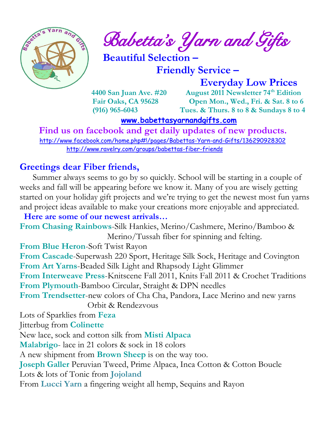

 $e^{\int e^{\arcsin(\pi/2-\pi/2)}}$  Babetta's Yarn and Gifts

 **Beautiful Selection –**

 **Friendly Service –**

 **Everyday Low Prices**

 **4400 San Juan Ave. #20 August 2011 Newsletter 74th Edition Fair Oaks, CA 95628 Open Mon., Wed., Fri. & Sat. 8 to 6 (916) 965-6043 Tues. & Thurs. 8 to 8 & Sundays 8 to 4** 

 **[www.babettasyarnandgifts.com](http://www.babettasyarnandgifts.com/)**

 **Find us on facebook and get daily updates of new products.**  <http://www.facebook.com/home.php#!/pages/Babettas-Yarn-and-Gifts/136290928302> <http://www.ravelry.com/groups/babettas-fiber-friends>

#### **Greetings dear Fiber friends,**

 Summer always seems to go by so quickly. School will be starting in a couple of weeks and fall will be appearing before we know it. Many of you are wisely getting started on your holiday gift projects and we're trying to get the newest most fun yarns and project ideas available to make your creations more enjoyable and appreciated.

**Here are some of our newest arrivals…**

**From Chasing Rainbows**-Silk Hankies, Merino/Cashmere, Merino/Bamboo & Merino/Tussah fiber for spinning and felting.

**From Blue Heron**-Soft Twist Rayon

**From Cascade**-Superwash 220 Sport, Heritage Silk Sock, Heritage and Covington **From Art Yarns**-Beaded Silk Light and Rhapsody Light Glimmer

**From Interweave Press**-Knitscene Fall 2011, Knits Fall 2011 & Crochet Traditions **From Plymouth**-Bamboo Circular, Straight & DPN needles

**From Trendsetter**-new colors of Cha Cha, Pandora, Lace Merino and new yarns Orbit & Rendezvous

Lots of Sparklies from **Feza**

Jitterbug from **Colinette**

New lace, sock and cotton silk from **Misti Alpaca**

**Malabrigo**- lace in 21 colors & sock in 18 colors

A new shipment from **Brown Sheep** is on the way too.

**Joseph Galler** Peruvian Tweed, Prime Alpaca, Inca Cotton & Cotton Boucle

Lots & lots of Tonic from **Jojoland**

From **Lucci Yarn** a fingering weight all hemp, Sequins and Rayon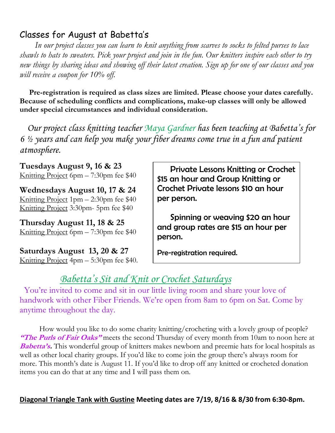#### Classes for August at Babetta's

 *In our project classes you can learn to knit anything from scarves to socks to felted purses to lace shawls to hats to sweaters. Pick your project and join in the fun. Our knitters inspire each other to try new things by sharing ideas and showing off their latest creation. Sign up for one of our classes and you will receive a coupon for 10% off.*

 **Pre-registration is required as class sizes are limited. Please choose your dates carefully. Because of scheduling conflicts and complications, make-up classes will only be allowed under special circumstances and individual consideration.**

*Our project class knitting teacher Maya Gardner has been teaching at Babetta's for 6 ½ years and can help you make your fiber dreams come true in a fun and patient atmosphere.*

**Tuesdays August 9, 16 & 23** Knitting Project 6pm – 7:30pm fee \$40

**Wednesdays August 10, 17 & 24** Knitting Project 1pm – 2:30pm fee \$40 Knitting Project 3:30pm- 5pm fee \$40

**Thursday August 11, 18 & 25** Knitting Project 6pm – 7:30pm fee \$40

**Saturdays August 13, 20 & 27** Knitting Project 4pm – 5:30pm fee \$40.

 Private Lessons Knitting or Crochet \$15 an hour and Group Knitting or Crochet Private lessons \$10 an hour per person.

 Spinning or weaving \$20 an hour and group rates are \$15 an hour per person.

Pre-registration required.

### *Babetta's Sit and Knit or Crochet Saturdays*

You're invited to come and sit in our little living room and share your love of handwork with other Fiber Friends. We're open from 8am to 6pm on Sat. Come by anytime throughout the day.

 How would you like to do some charity knitting/crocheting with a lovely group of people? **"The Purls of Fair Oaks"** meets the second Thursday of every month from 10am to noon here at **Babetta's.** This wonderful group of knitters makes newborn and preemie hats for local hospitals as well as other local charity groups. If you'd like to come join the group there's always room for more. This month's date is August 11. If you'd like to drop off any knitted or crocheted donation items you can do that at any time and I will pass them on.

#### **Diagonal Triangle Tank with Gustine Meeting dates are 7/19, 8/16 & 8/30 from 6:30-8pm.**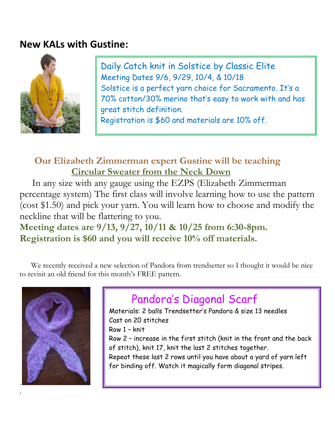#### **New KALs with Gustine:**



Daily Catch knit in Solstice by Classic Elite Meeting Dates 9/6, 9/29, 10/4, & 10/18 Solstice is a perfect yarn choice for Sacramento. It's a 70% cotton/30% merino that's easy to work with and has great stitch definition. Registration is \$60 and materials are 10% off.

#### **Our Elizabeth Zimmerman expert Gustine will be teaching Circular Sweater from the Neck Down**

 In any size with any gauge using the EZPS (Elizabeth Zimmerman percentage system) The first class will involve learning how to use the pattern (cost \$1.50) and pick your yarn. You will learn how to choose and modify the neckline that will be flattering to you.

**Meeting dates are 9/13, 9/27, 10/11 & 10/25 from 6:30-8pm. Registration is \$60 and you will receive 10% off materials.**

 We recently received a new selection of Pandora from trendsetter so I thought it would be nice to revisit an old friend for this month's FREE pattern.



## Pandora's Diagonal Scarf

Materials: 2 balls Trendsetter's Pandora & size 13 needles Cast on 20 stitches Row 1 – knit Row 2 – increase in the first stitch (knit in the front and the back of stitch), knit 17, knit the last 2 stitches together. Repeat these last 2 rows until you have about a yard of yarn left for binding off. Watch it magically form diagonal stripes.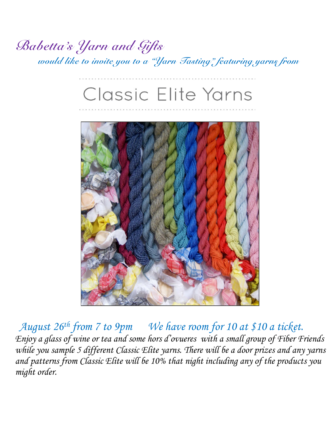## *Babetta's Yarn and Gifts would like to invite you to a "Yarn Tasting" featuring yarns from*

# Classic Elite Yarns



 *August 26th from 7 to 9pm We have room for 10 at \$10 a ticket. Enjoy a glass of wine or tea and some hors d'ovueres with a small group of Fiber Friends while you sample 5 different Classic Elite yarns. There will be a door prizes and any yarns and patterns from Classic Elite will be 10% that night including any of the products you might order.*